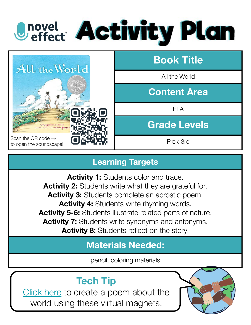# **Onovel Activity Plan**



#### **Learning Targets**

Activity 1: Students color and trace. **Activity 2:** Students write what they are grateful for. Activity 3: Students complete an acrostic poem. Activity 4: Students write rhyming words. **Activity 5-6:** Students illustrate related parts of nature. **Activity 7:** Students write synonyms and antonyms. **Activity 8:** Students reflect on the story.

### **Materials Needed:**

pencil, coloring materials

## **Tech Tip**

[Click here](http://magneticpoetryplayonline.com/nature/) to create a poem about the world using these virtual magnets.

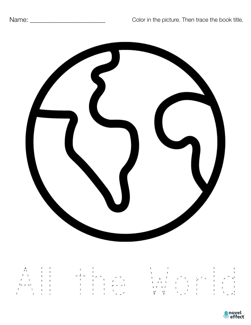

| $\wedge$ $\wedge$ $\wedge$ $\wedge$                                                                                                                                                                                                                                                                                                                                                               |  | and the state of the state of                                                                                                                          | $\mathbf{1}$ and $\mathbf{1}$ and $\mathbf{1}$ and $\mathbf{1}$ and $\mathbf{1}$ and $\mathbf{1}$ and $\mathbf{1}$<br>$\mathbf{1}$ and $\mathbf{1}$ and $\mathbf{1}$ and $\mathbf{1}$ and $\mathbf{1}$ and $\mathbf{1}$ and $\mathbf{1}$ and $\mathbf{1}$ and $\mathbf{1}$ and $\mathbf{1}$ and $\mathbf{1}$ and $\mathbf{1}$ and $\mathbf{1}$ and $\mathbf{1}$ and $\mathbf{1}$ and $\mathbf{1}$ and $\mathbf{1}$ and |
|---------------------------------------------------------------------------------------------------------------------------------------------------------------------------------------------------------------------------------------------------------------------------------------------------------------------------------------------------------------------------------------------------|--|--------------------------------------------------------------------------------------------------------------------------------------------------------|------------------------------------------------------------------------------------------------------------------------------------------------------------------------------------------------------------------------------------------------------------------------------------------------------------------------------------------------------------------------------------------------------------------------|
| $\sqrt{1}$<br>$\sqrt{2}$<br>$1 - -1$ 1                                                                                                                                                                                                                                                                                                                                                            |  | $-1 - 1$ , $-$ , $-$<br>$\cdots$<br>$\mathbf{1}$ and $\mathbf{1}$ and $\mathbf{1}$ and $\mathbf{1}$ and $\mathbf{1}$ and $\mathbf{1}$ and $\mathbf{1}$ | いぼ アメディーアイ                                                                                                                                                                                                                                                                                                                                                                                                             |
| $\mathcal{L}$ $\mathcal{L}$ $\mathcal{L}$ $\mathcal{L}$ $\mathcal{L}$ $\mathcal{L}$ $\mathcal{L}$ $\mathcal{L}$ $\mathcal{L}$ $\mathcal{L}$ $\mathcal{L}$ $\mathcal{L}$ $\mathcal{L}$ $\mathcal{L}$ $\mathcal{L}$ $\mathcal{L}$ $\mathcal{L}$ $\mathcal{L}$ $\mathcal{L}$ $\mathcal{L}$ $\mathcal{L}$ $\mathcal{L}$ $\mathcal{L}$ $\mathcal{L}$ $\mathcal{$<br>$\prime$ and $\prime$ and $\prime$ |  | $\mathbf{1}$ and $\mathbf{1}$ and $\mathbf{1}$ and $\mathbf{1}$<br>アンドランド しゅうしゃ スープ                                                                    | VV 人名卡卡人名                                                                                                                                                                                                                                                                                                                                                                                                              |

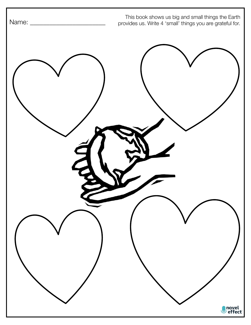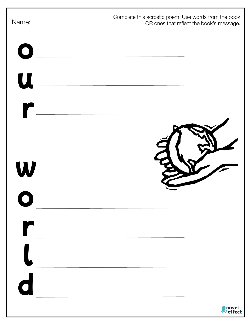|                | Complete this acrostic poem. Use words from the book<br>OR ones that reflect the book's message.                      |
|----------------|-----------------------------------------------------------------------------------------------------------------------|
| $\bullet$      | <u> 1989 - Johann Stoff, deutscher Stoff, der Stoff, der Stoff, der Stoff, der Stoff, der Stoff, der Stoff, der S</u> |
| $\mathbf u$    |                                                                                                                       |
| $\blacksquare$ |                                                                                                                       |
|                |                                                                                                                       |
| W              |                                                                                                                       |
|                |                                                                                                                       |
|                |                                                                                                                       |
|                |                                                                                                                       |
|                |                                                                                                                       |
| $\bigodot$     |                                                                                                                       |
|                | novel<br>/ effect                                                                                                     |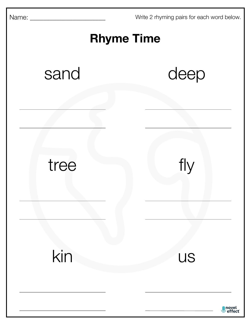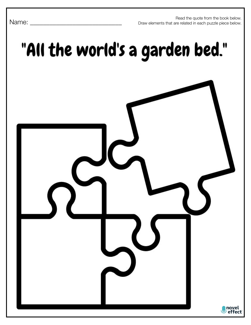Read the quote from the book below. Draw elements that are related in each puzzle piece below.

## "All the world's a garden bed."



Name: \_\_\_\_\_\_\_\_\_\_\_\_\_\_\_\_\_\_\_\_\_\_\_\_\_\_\_\_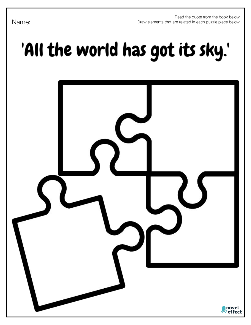Read the quote from the book below. Draw elements that are related in each puzzle piece below.

#### Name:

## 'All the world has got its sky.'

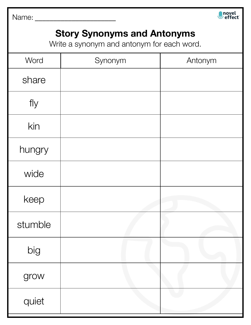Name: \_\_\_\_\_\_\_\_\_\_\_\_\_\_\_\_\_\_\_\_\_\_



### **Story Synonyms and Antonyms**

Write a synonym and antonym for each word.

| Word    | Synonym | Antonym |
|---------|---------|---------|
| share   |         |         |
| fly     |         |         |
| kin     |         |         |
| hungry  |         |         |
| wide    |         |         |
| keep    |         |         |
| stumble |         |         |
| big     |         |         |
| grow    |         |         |
| quiet   |         |         |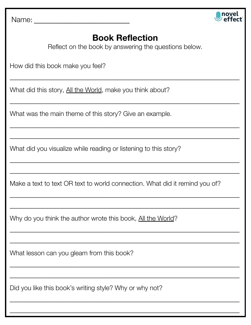Name: \_\_\_\_\_\_\_\_\_\_\_\_\_\_\_\_\_\_\_\_\_\_\_\_\_\_



#### **Book Reflection**

Reflect on the book by answering the questions below.

 $\overline{\phantom{a}}$  , and the contract of the contract of the contract of the contract of the contract of the contract of the contract of the contract of the contract of the contract of the contract of the contract of the contrac

\_\_\_\_\_\_\_\_\_\_\_\_\_\_\_\_\_\_\_\_\_\_\_\_\_\_\_\_\_\_\_\_\_\_\_\_\_\_\_\_\_\_\_\_\_\_\_\_\_\_\_\_\_\_\_\_\_\_\_

 $\overline{\phantom{a}}$  , and the contract of the contract of the contract of the contract of the contract of the contract of the contract of the contract of the contract of the contract of the contract of the contract of the contrac

\_\_\_\_\_\_\_\_\_\_\_\_\_\_\_\_\_\_\_\_\_\_\_\_\_\_\_\_\_\_\_\_\_\_\_\_\_\_\_\_\_\_\_\_\_\_\_\_\_\_\_\_\_\_\_\_\_\_\_

\_\_\_\_\_\_\_\_\_\_\_\_\_\_\_\_\_\_\_\_\_\_\_\_\_\_\_\_\_\_\_\_\_\_\_\_\_\_\_\_\_\_\_\_\_\_\_\_\_\_\_\_\_\_\_\_\_\_\_

\_\_\_\_\_\_\_\_\_\_\_\_\_\_\_\_\_\_\_\_\_\_\_\_\_\_\_\_\_\_\_\_\_\_\_\_\_\_\_\_\_\_\_\_\_\_\_\_\_\_\_\_\_\_\_\_\_\_\_

How did this book make you feel?

What did this story, All the World, make you think about?

What was the main theme of this story? Give an example.

What did you visualize while reading or listening to this story?

Make a text to text OR text to world connection. What did it remind you of?

 $\overline{\phantom{a}}$  , and the contract of the contract of the contract of the contract of the contract of the contract of the contract of the contract of the contract of the contract of the contract of the contract of the contrac

\_\_\_\_\_\_\_\_\_\_\_\_\_\_\_\_\_\_\_\_\_\_\_\_\_\_\_\_\_\_\_\_\_\_\_\_\_\_\_\_\_\_\_\_\_\_\_\_\_\_\_\_\_\_\_\_\_\_\_

\_\_\_\_\_\_\_\_\_\_\_\_\_\_\_\_\_\_\_\_\_\_\_\_\_\_\_\_\_\_\_\_\_\_\_\_\_\_\_\_\_\_\_\_\_\_\_\_\_\_\_\_\_\_\_\_\_\_\_

\_\_\_\_\_\_\_\_\_\_\_\_\_\_\_\_\_\_\_\_\_\_\_\_\_\_\_\_\_\_\_\_\_\_\_\_\_\_\_\_\_\_\_\_\_\_\_\_\_\_\_\_\_\_\_\_\_\_\_

 $\overline{\phantom{a}}$  , and the contract of the contract of the contract of the contract of the contract of the contract of the contract of the contract of the contract of the contract of the contract of the contract of the contrac

\_\_\_\_\_\_\_\_\_\_\_\_\_\_\_\_\_\_\_\_\_\_\_\_\_\_\_\_\_\_\_\_\_\_\_\_\_\_\_\_\_\_\_\_\_\_\_\_\_\_\_\_\_\_\_\_\_\_\_

\_\_\_\_\_\_\_\_\_\_\_\_\_\_\_\_\_\_\_\_\_\_\_\_\_\_\_\_\_\_\_\_\_\_\_\_\_\_\_\_\_\_\_\_\_\_\_\_\_\_\_\_\_\_\_\_\_\_\_

 $\overline{\phantom{a}}$  , and the contract of the contract of the contract of the contract of the contract of the contract of the contract of the contract of the contract of the contract of the contract of the contract of the contrac

Why do you think the author wrote this book, All the World?

What lesson can you gleam from this book?

Did you like this book's writing style? Why or why not?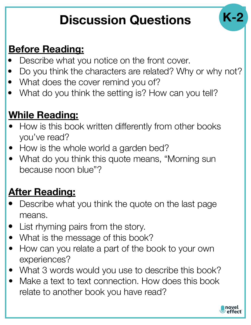## **Discussion Questions**

## **Before Reading:**

- Describe what you notice on the front cover.
- Do you think the characters are related? Why or why not?
- What does the cover remind you of?
- What do you think the setting is? How can you tell?

## **While Reading:**

- How is this book written differently from other books you've read?
- How is the whole world a garden bed?
- What do you think this quote means, "Morning sun because noon blue"?

## **After Reading:**

- Describe what you think the quote on the last page means.
- List rhyming pairs from the story.
- What is the message of this book?
- How can you relate a part of the book to your own experiences?
- What 3 words would you use to describe this book?
- Make a text to text connection. How does this book relate to another book you have read?



**K-2**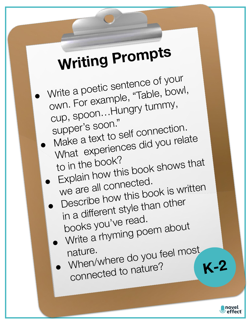# **Writing Prompts**

 $\bullet$ Write a poetic sentence of your<br>own. For example, "Table, bowl,<br>cup, spoon...Hungry tummy,<br>supper's soon."<br>Make a text to self connection.  $\bullet$ What experiences did you relate<br>to in the book?

 $\bullet$ 

 $\bullet$ 

 $\bullet$ 

- to in the book?<br>Explain how this book shows that<br>we are all connected. we are all connected.<br>Describe how this book is written<br>in a different style than other<br>books you've read.
	-

books you ve road.<br>Write a rhyming poem about

nature. When/where do you feel most connected to nature?

**K-2**